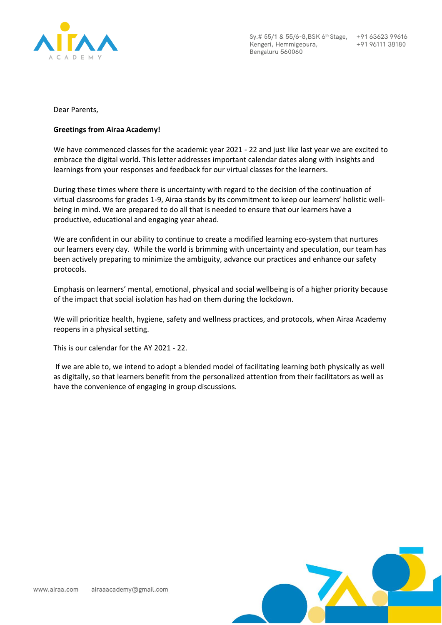

Sy.# 55/1 & 55/6-8, BSK 6<sup>th</sup> Stage, +91 63623 99616 Kengeri, Hemmigepura, Bengaluru 560060

+91 96111 38180

Dear Parents,

## **Greetings from Airaa Academy!**

We have commenced classes for the academic year 2021 - 22 and just like last year we are excited to embrace the digital world. This letter addresses important calendar dates along with insights and learnings from your responses and feedback for our virtual classes for the learners.

During these times where there is uncertainty with regard to the decision of the continuation of virtual classrooms for grades 1-9, Airaa stands by its commitment to keep our learners' holistic wellbeing in mind. We are prepared to do all that is needed to ensure that our learners have a productive, educational and engaging year ahead.

We are confident in our ability to continue to create a modified learning eco-system that nurtures our learners every day. While the world is brimming with uncertainty and speculation, our team has been actively preparing to minimize the ambiguity, advance our practices and enhance our safety protocols.

Emphasis on learners' mental, emotional, physical and social wellbeing is of a higher priority because of the impact that social isolation has had on them during the lockdown.

We will prioritize health, hygiene, safety and wellness practices, and protocols, when Airaa Academy reopens in a physical setting.

This is our calendar for the AY 2021 - 22.

If we are able to, we intend to adopt a blended model of facilitating learning both physically as well as digitally, so that learners benefit from the personalized attention from their facilitators as well as have the convenience of engaging in group discussions.

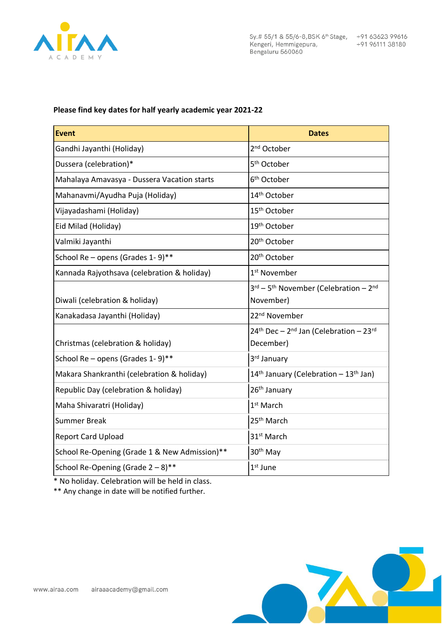

Sy.# 55/1 & 55/6-8, BSK 6<sup>th</sup> Stage, +91 63623 99616 Kengeri, Hemmigepura, Bengaluru 560060

## **Please find key dates for half yearly academic year 2021-22**

| <b>Event</b>                                  | <b>Dates</b>                                                               |
|-----------------------------------------------|----------------------------------------------------------------------------|
| Gandhi Jayanthi (Holiday)                     | 2 <sup>nd</sup> October                                                    |
| Dussera (celebration)*                        | 5 <sup>th</sup> October                                                    |
| Mahalaya Amavasya - Dussera Vacation starts   | 6 <sup>th</sup> October                                                    |
| Mahanavmi/Ayudha Puja (Holiday)               | 14 <sup>th</sup> October                                                   |
| Vijayadashami (Holiday)                       | 15 <sup>th</sup> October                                                   |
| Eid Milad (Holiday)                           | 19th October                                                               |
| Valmiki Jayanthi                              | 20 <sup>th</sup> October                                                   |
| School Re - opens (Grades 1-9)**              | 20 <sup>th</sup> October                                                   |
| Kannada Rajyothsava (celebration & holiday)   | 1 <sup>st</sup> November                                                   |
| Diwali (celebration & holiday)                | 3rd - 5 <sup>th</sup> November (Celebration - 2 <sup>nd</sup><br>November) |
| Kanakadasa Jayanthi (Holiday)                 | 22 <sup>nd</sup> November                                                  |
| Christmas (celebration & holiday)             | 24th Dec - 2nd Jan (Celebration - 23rd<br>December)                        |
| School Re - opens (Grades 1-9)**              | 3rd January                                                                |
| Makara Shankranthi (celebration & holiday)    | 14 <sup>th</sup> January (Celebration - 13 <sup>th</sup> Jan)              |
| Republic Day (celebration & holiday)          | 26 <sup>th</sup> January                                                   |
| Maha Shivaratri (Holiday)                     | 1 <sup>st</sup> March                                                      |
| <b>Summer Break</b>                           | 25 <sup>th</sup> March                                                     |
| <b>Report Card Upload</b>                     | 31 <sup>st</sup> March                                                     |
| School Re-Opening (Grade 1 & New Admission)** | 30 <sup>th</sup> May                                                       |
| School Re-Opening (Grade 2 - 8)**             | $1st$ June                                                                 |

\* No holiday. Celebration will be held in class.

\*\* Any change in date will be notified further.